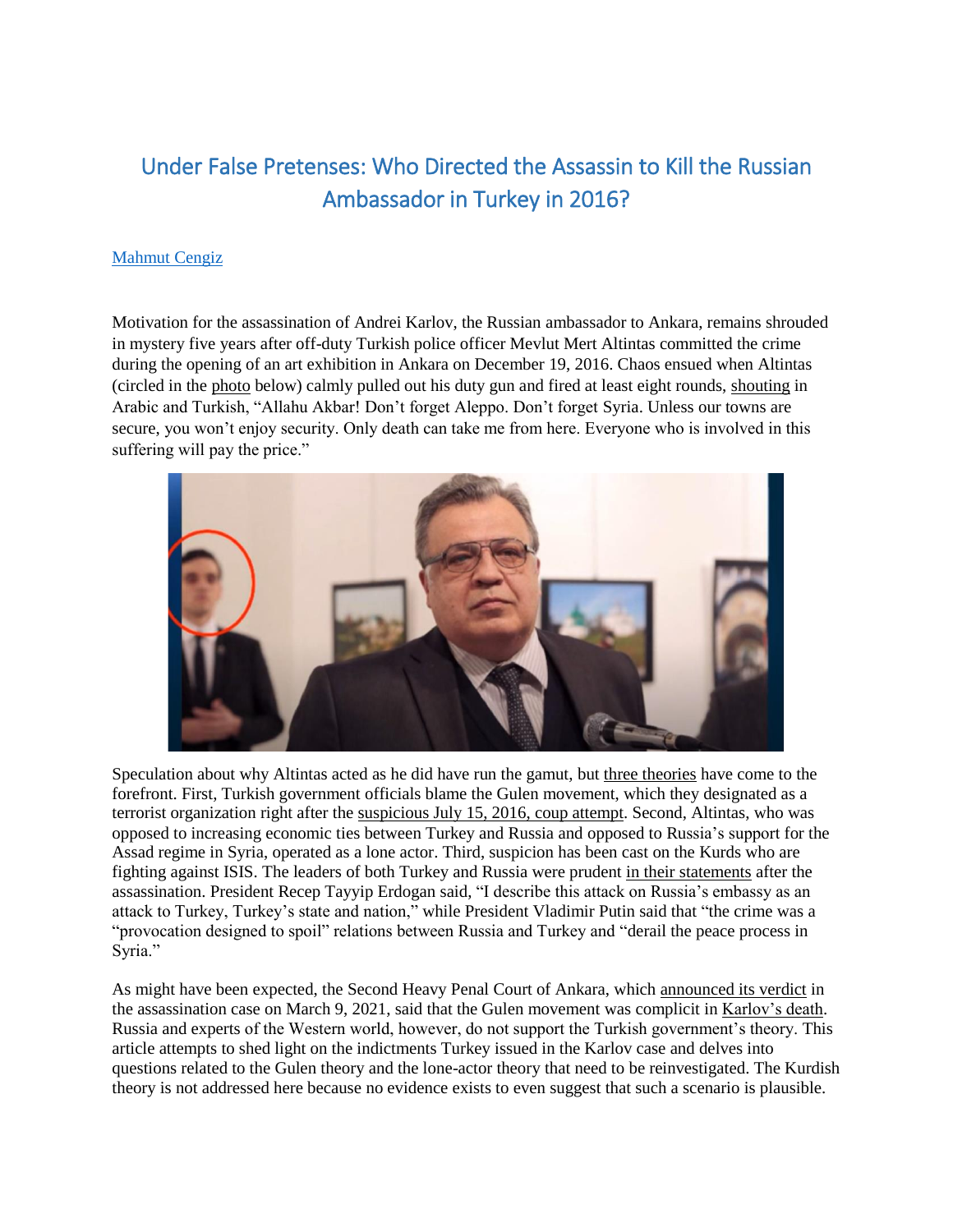# Under False Pretenses: Who Directed the Assassin to Kill the Russian Ambassador in Turkey in 2016?

### [Mahmut Cengiz](https://content.sitemasonry.gmu.edu/profiles/mcengiz)

Motivation for the assassination of Andrei Karlov, the Russian ambassador to Ankara, remains shrouded in mystery five years after off-duty Turkish police officer Mevlut Mert Altintas committed the crime during the opening of an art exhibition in Ankara on December 19, 2016. Chaos ensued when Altintas (circled in the [photo](https://www.youtube.com/watch?v=pc7yFf49f2g) below) calmly pulled out his duty gun and fired at least eight rounds, [shouting](https://www.theguardian.com/world/2016/dec/19/russian-ambassador-to-turkey-wounded-in-ankara-shooting-attack?page=with:img-1) in Arabic and Turkish, "Allahu Akbar! Don't forget Aleppo. Don't forget Syria. Unless our towns are secure, you won't enjoy security. Only death can take me from here. Everyone who is involved in this suffering will pay the price."



Speculation about why Altintas acted as he did have run the gamut, but [three theories](https://www.pearson.com/us/higher-education/program/Taylor-Terrorism-Intelligence-and-Homeland-Security-2nd-Edition/PGM1859168.html) have come to the forefront. First, Turkish government officials blame the Gulen movement, which they designated as a terrorist organization right after the [suspicious July 15, 2016,](https://smallwarsjournal.com/jrnl/art/who-was-behind-july-15-2016-military-uprising-turkey) coup attempt. Second, Altintas, who was opposed to increasing economic ties between Turkey and Russia and opposed to Russia's support for the Assad regime in Syria, operated as a lone actor. Third, suspicion has been cast on the Kurds who are fighting against ISIS. The leaders of both Turkey and Russia were prudent [in their statements](https://www.cnn.com/2016/12/20/europe/ankara-russia-ambassador-shooter) after the assassination. President Recep Tayyip Erdogan said, "I describe this attack on Russia's embassy as an attack to Turkey, Turkey's state and nation," while President Vladimir Putin said that "the crime was a "provocation designed to spoil" relations between Russia and Turkey and "derail the peace process in Syria."

As might have been expected, the Second Heavy Penal Court of Ankara, which [announced its verdict](https://www.hurriyet.com.tr/gundem/son-dakika-karlov-suikasti-davasinda-karar-cikti-41758951) in the assassination case on March 9, 2021, said that the Gulen movement was complicit in [Karlov's death.](https://www.youtube.com/watch?v=nifmHHaUgrU) Russia and experts of the Western world, however, do not support the Turkish government's theory. This article attempts to shed light on the indictments Turkey issued in the Karlov case and delves into questions related to the Gulen theory and the lone-actor theory that need to be reinvestigated. The Kurdish theory is not addressed here because no evidence exists to even suggest that such a scenario is plausible.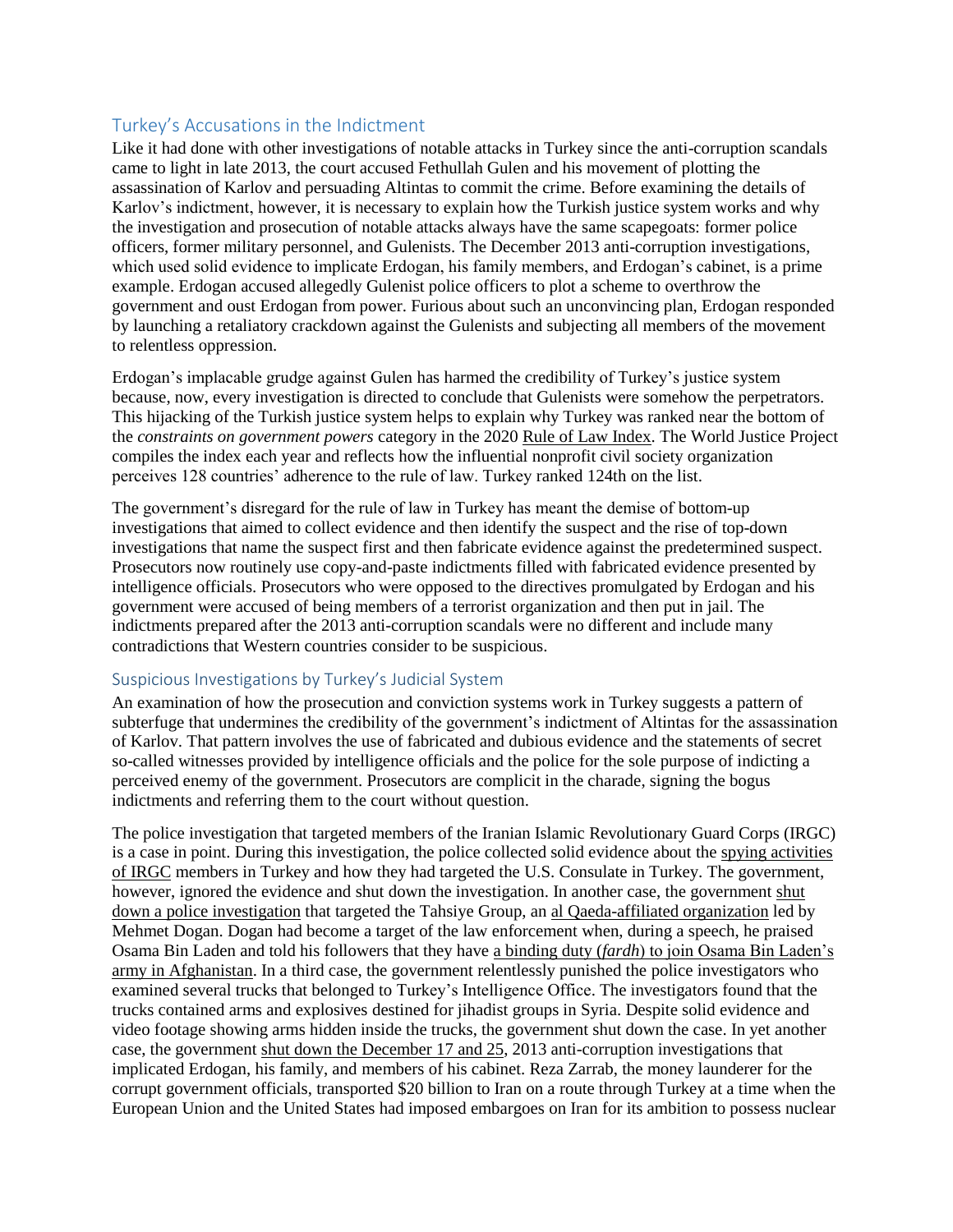# Turkey's Accusations in the Indictment

Like it had done with other investigations of notable attacks in Turkey since the anti-corruption scandals came to light in late 2013, the court accused Fethullah Gulen and his movement of plotting the assassination of Karlov and persuading Altintas to commit the crime. Before examining the details of Karlov's indictment, however, it is necessary to explain how the Turkish justice system works and why the investigation and prosecution of notable attacks always have the same scapegoats: former police officers, former military personnel, and Gulenists. The December 2013 anti-corruption investigations, which used solid evidence to implicate Erdogan, his family members, and Erdogan's cabinet, is a prime example. Erdogan accused allegedly Gulenist police officers to plot a scheme to overthrow the government and oust Erdogan from power. Furious about such an unconvincing plan, Erdogan responded by launching a retaliatory crackdown against the Gulenists and subjecting all members of the movement to relentless oppression.

Erdogan's implacable grudge against Gulen has harmed the credibility of Turkey's justice system because, now, every investigation is directed to conclude that Gulenists were somehow the perpetrators. This hijacking of the Turkish justice system helps to explain why Turkey was ranked near the bottom of the *constraints on government powers* category in the 2020 [Rule of Law Index.](https://worldjusticeproject.org/rule-of-law-index/country/Turkey) The World Justice Project compiles the index each year and reflects how the influential nonprofit civil society organization perceives 128 countries' adherence to the rule of law. Turkey ranked 124th on the list.

The government's disregard for the rule of law in Turkey has meant the demise of bottom-up investigations that aimed to collect evidence and then identify the suspect and the rise of top-down investigations that name the suspect first and then fabricate evidence against the predetermined suspect. Prosecutors now routinely use copy-and-paste indictments filled with fabricated evidence presented by intelligence officials. Prosecutors who were opposed to the directives promulgated by Erdogan and his government were accused of being members of a terrorist organization and then put in jail. The indictments prepared after the 2013 anti-corruption scandals were no different and include many contradictions that Western countries consider to be suspicious.

#### Suspicious Investigations by Turkey's Judicial System

An examination of how the prosecution and conviction systems work in Turkey suggests a pattern of subterfuge that undermines the credibility of the government's indictment of Altintas for the assassination of Karlov. That pattern involves the use of fabricated and dubious evidence and the statements of secret so-called witnesses provided by intelligence officials and the police for the sole purpose of indicting a perceived enemy of the government. Prosecutors are complicit in the charade, signing the bogus indictments and referring them to the court without question.

The police investigation that targeted members of the Iranian Islamic Revolutionary Guard Corps (IRGC) is a case in point. During this investigation, the police collected solid evidence about the [spying activities](https://smallwarsjournal.com/jrnl/art/irgc-threat-middle-east-how-safe-are-americans-turkey)  [of IRGC](https://smallwarsjournal.com/jrnl/art/irgc-threat-middle-east-how-safe-are-americans-turkey) members in Turkey and how they had targeted the U.S. Consulate in Turkey. The government, however, ignored the evidence and shut down the investigation. In another case, the governmen[t shut](https://www.cumhuriyet.com.tr/haber/tahsiye-davasinda-orgut-sucundan-tum-saniklara-beraat-448474) down a police [investigation](https://www.cumhuriyet.com.tr/haber/tahsiye-davasinda-orgut-sucundan-tum-saniklara-beraat-448474) that targeted the Tahsiye Group, an [al Qaeda-affiliated organization](https://www.sozcu.com.tr/2014/gunun-icinden/tahsiye-ne-demek-tahsiyeci-kime-denir-678862/) led by Mehmet Dogan. Dogan had become a target of the law enforcement when, during a speech, he praised Osama Bin Laden and told his followers that they have a binding duty (*fardh*[\) to join Osama Bin Laden's](https://www.youtube.com/watch?v=pTSnhUL4p2M)  [army in Afghanistan.](https://www.youtube.com/watch?v=pTSnhUL4p2M) In a third case, the government relentlessly punished the police investigators who examined several trucks that belonged to Turkey's Intelligence Office. The investigators found that the trucks contained arms and explosives destined for jihadist groups in Syria. Despite solid evidence and video footage showing arms hidden inside the trucks, the government shut down the case. In yet another case, the government [shut down the December 17](https://www.vocaleurope.eu/how-the-corruption-investigations-of-2013-still-shape-turkeys-bleak-future/) and 25, 2013 anti-corruption investigations that implicated Erdogan, his family, and members of his cabinet. Reza Zarrab, the money launderer for the corrupt government officials, transported \$20 billion to Iran on a route through Turkey at a time when the European Union and the United States had imposed embargoes on Iran for its ambition to possess nuclear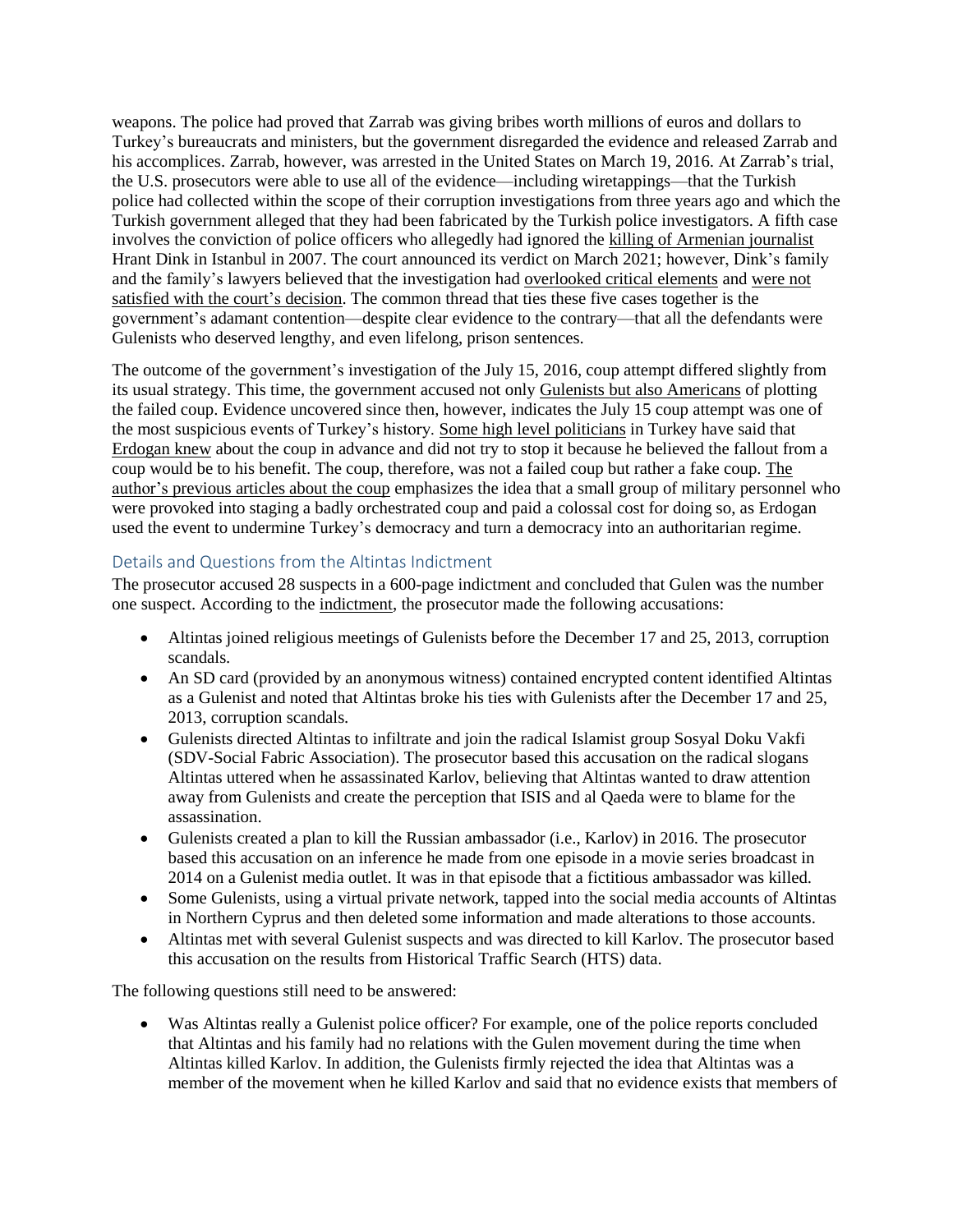weapons. The police had proved that Zarrab was giving bribes worth millions of euros and dollars to Turkey's bureaucrats and ministers, but the government disregarded the evidence and released Zarrab and his accomplices. Zarrab, however, was arrested in the United States on March 19, 2016. At Zarrab's trial, the U.S. prosecutors were able to use all of the evidence—including wiretappings—that the Turkish police had collected within the scope of their corruption investigations from three years ago and which the Turkish government alleged that they had been fabricated by the Turkish police investigators. A fifth case involves the conviction of police officers who allegedly had ignored the [killing of Armenian journalist](https://www.sozcu.com.tr/2021/gundem/hrant-dink-davasinda-karar-gunu-6335974/) Hrant Dink in Istanbul in 2007. The court announced its verdict on March 2021; however, Dink's family and the family's lawyers believed that the investigation had overlooked [critical elements](https://www.dw.com/tr/hrant-dink-cinayeti-davas%C4%B1nda-karar-g%C3%BCn%C3%BC/a-57009169) and [were not](http://www.agos.com.tr/tr/yazi/25505/dink-ailesi-avukatlari-karar-hatalar-iceriyor-itiraz-edecegiz)  [satisfied with the court's](http://www.agos.com.tr/tr/yazi/25505/dink-ailesi-avukatlari-karar-hatalar-iceriyor-itiraz-edecegiz) decision. The common thread that ties these five cases together is the government's adamant contention—despite clear evidence to the contrary—that all the defendants were Gulenists who deserved lengthy, and even lifelong, prison sentences.

The outcome of the government's investigation of the July 15, 2016, coup attempt differed slightly from its usual strategy. This time, the government accused not only [Gulenists but also](https://moderndiplomacy.eu/2021/04/01/tales-vs-the-truth-was-the-united-states-really-behind-turkeys-july-15-coup-attempt/) Americans of plotting the failed coup. Evidence uncovered since then, however, indicates the July 15 coup attempt was one of the most suspicious events of Turkey's history. Some [high level politicians](https://www.youtube.com/watch?v=mWLGxLVO7HM) in Turkey have said that [Erdogan knew](https://www.diken.com.tr/kilicdaroglu-erdogan-darbeyi-biliyordu-marmarise-ne-olur-ne-olmaz-diye-saklandi/) about the coup in advance and did not try to stop it because he believed the fallout from a coup would be to his benefit. The coup, therefore, was not a failed coup but rather a fake coup. [The](https://smallwarsjournal.com/author/mahmut-cengiz) [author's previous articles about the coup](https://smallwarsjournal.com/author/mahmut-cengiz) emphasizes the idea that a small group of military personnel who were provoked into staging a badly orchestrated coup and paid a colossal cost for doing so, as Erdogan used the event to undermine Turkey's democracy and turn a democracy into an authoritarian regime.

## Details and Questions from the Altintas Indictment

The prosecutor accused 28 suspects in a 600-page indictment and concluded that Gulen was the number one suspect. According to the [indictment,](https://b2923f8b-dcd2-4bd5-81cd-869a72b88bdf.filesusr.com/ugd/b886b2_d8e112cb02834cbdb287d001a56d2c66.pdf) the prosecutor made the following accusations:

- Altintas joined religious meetings of Gulenists before the December 17 and 25, 2013, corruption scandals.
- An SD card (provided by an anonymous witness) contained encrypted content identified Altintas as a Gulenist and noted that Altintas broke his ties with Gulenists after the December 17 and 25, 2013, corruption scandals.
- Gulenists directed Altintas to infiltrate and join the radical Islamist group Sosyal Doku Vakfi (SDV-Social Fabric Association). The prosecutor based this accusation on the radical slogans Altintas uttered when he assassinated Karlov, believing that Altintas wanted to draw attention away from Gulenists and create the perception that ISIS and al Qaeda were to blame for the assassination.
- Gulenists created a plan to kill the Russian ambassador (i.e., Karlov) in 2016. The prosecutor based this accusation on an inference he made from one episode in a movie series broadcast in 2014 on a Gulenist media outlet. It was in that episode that a fictitious ambassador was killed.
- Some Gulenists, using a virtual private network, tapped into the social media accounts of Altintas in Northern Cyprus and then deleted some information and made alterations to those accounts.
- Altintas met with several Gulenist suspects and was directed to kill Karlov. The prosecutor based this accusation on the results from Historical Traffic Search (HTS) data.

The following questions still need to be answered:

 Was Altintas really a Gulenist police officer? For example, one of the police reports concluded that Altintas and his family had no relations with the Gulen movement during the time when Altintas killed Karlov. In addition, the Gulenists firmly rejected the idea that Altintas was a member of the movement when he killed Karlov and said that no evidence exists that members of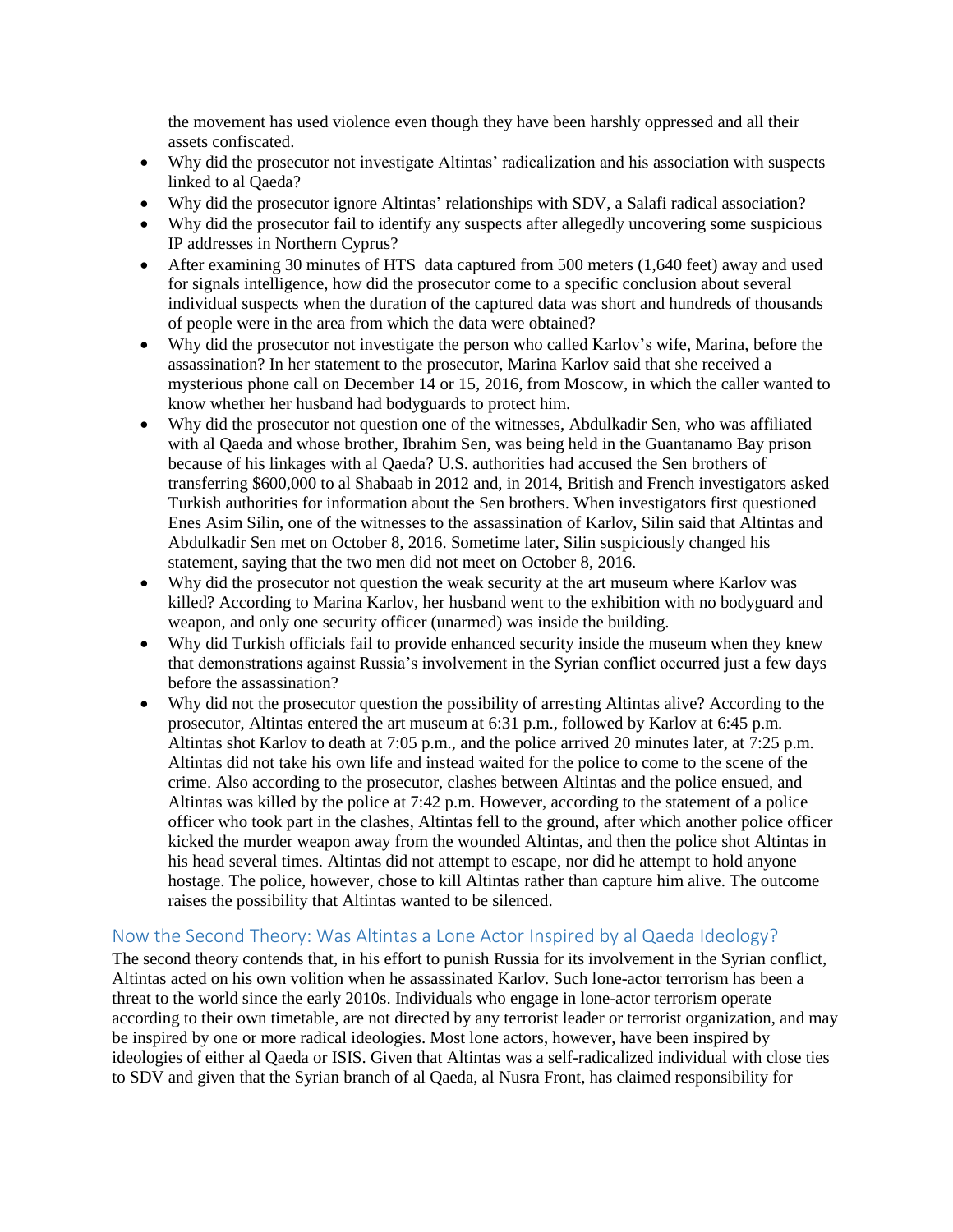the movement has used violence even though they have been harshly oppressed and all their assets confiscated.

- Why did the prosecutor not investigate Altintas' radicalization and his association with suspects linked to al Qaeda?
- Why did the prosecutor ignore Altintas' relationships with SDV, a Salafi radical association?
- Why did the prosecutor fail to identify any suspects after allegedly uncovering some suspicious IP addresses in Northern Cyprus?
- After examining 30 minutes of HTS data captured from 500 meters (1,640 feet) away and used for signals intelligence, how did the prosecutor come to a specific conclusion about several individual suspects when the duration of the captured data was short and hundreds of thousands of people were in the area from which the data were obtained?
- Why did the prosecutor not investigate the person who called Karlov's wife, Marina, before the assassination? In her statement to the prosecutor, Marina Karlov said that she received a mysterious phone call on December 14 or 15, 2016, from Moscow, in which the caller wanted to know whether her husband had bodyguards to protect him.
- Why did the prosecutor not question one of the witnesses, Abdulkadir Sen, who was affiliated with al Qaeda and whose brother, Ibrahim Sen, was being held in the Guantanamo Bay prison because of his linkages with al Qaeda? U.S. authorities had accused the Sen brothers of transferring \$600,000 to al Shabaab in 2012 and, in 2014, British and French investigators asked Turkish authorities for information about the Sen brothers. When investigators first questioned Enes Asim Silin, one of the witnesses to the assassination of Karlov, Silin said that Altintas and Abdulkadir Sen met on October 8, 2016. Sometime later, Silin suspiciously changed his statement, saying that the two men did not meet on October 8, 2016.
- Why did the prosecutor not question the weak security at the art museum where Karlov was killed? According to Marina Karlov, her husband went to the exhibition with no bodyguard and weapon, and only one security officer (unarmed) was inside the building.
- Why did Turkish officials fail to provide enhanced security inside the museum when they knew that demonstrations against Russia's involvement in the Syrian conflict occurred just a few days before the assassination?
- Why did not the prosecutor question the possibility of arresting Altintas alive? According to the prosecutor, Altintas entered the art museum at 6:31 p.m., followed by Karlov at 6:45 p.m. Altintas shot Karlov to death at 7:05 p.m., and the police arrived 20 minutes later, at 7:25 p.m. Altintas did not take his own life and instead waited for the police to come to the scene of the crime. Also according to the prosecutor, clashes between Altintas and the police ensued, and Altintas was killed by the police at 7:42 p.m. However, according to the statement of a police officer who took part in the clashes, Altintas fell to the ground, after which another police officer kicked the murder weapon away from the wounded Altintas, and then the police shot Altintas in his head several times. Altintas did not attempt to escape, nor did he attempt to hold anyone hostage. The police, however, chose to kill Altintas rather than capture him alive. The outcome raises the possibility that Altintas wanted to be silenced.

# Now the Second Theory: Was Altintas a Lone Actor Inspired by al Qaeda Ideology?

The second theory contends that, in his effort to punish Russia for its involvement in the Syrian conflict, Altintas acted on his own volition when he assassinated Karlov. Such lone-actor terrorism has been a threat to the world since the early 2010s. Individuals who engage in lone-actor terrorism operate according to their own timetable, are not directed by any terrorist leader or terrorist organization, and may be inspired by one or more radical ideologies. Most lone actors, however, have been inspired by ideologies of either al Qaeda or ISIS. Given that Altintas was a self-radicalized individual with close ties to SDV and given that the Syrian branch of al Qaeda, al Nusra Front, has claimed responsibility for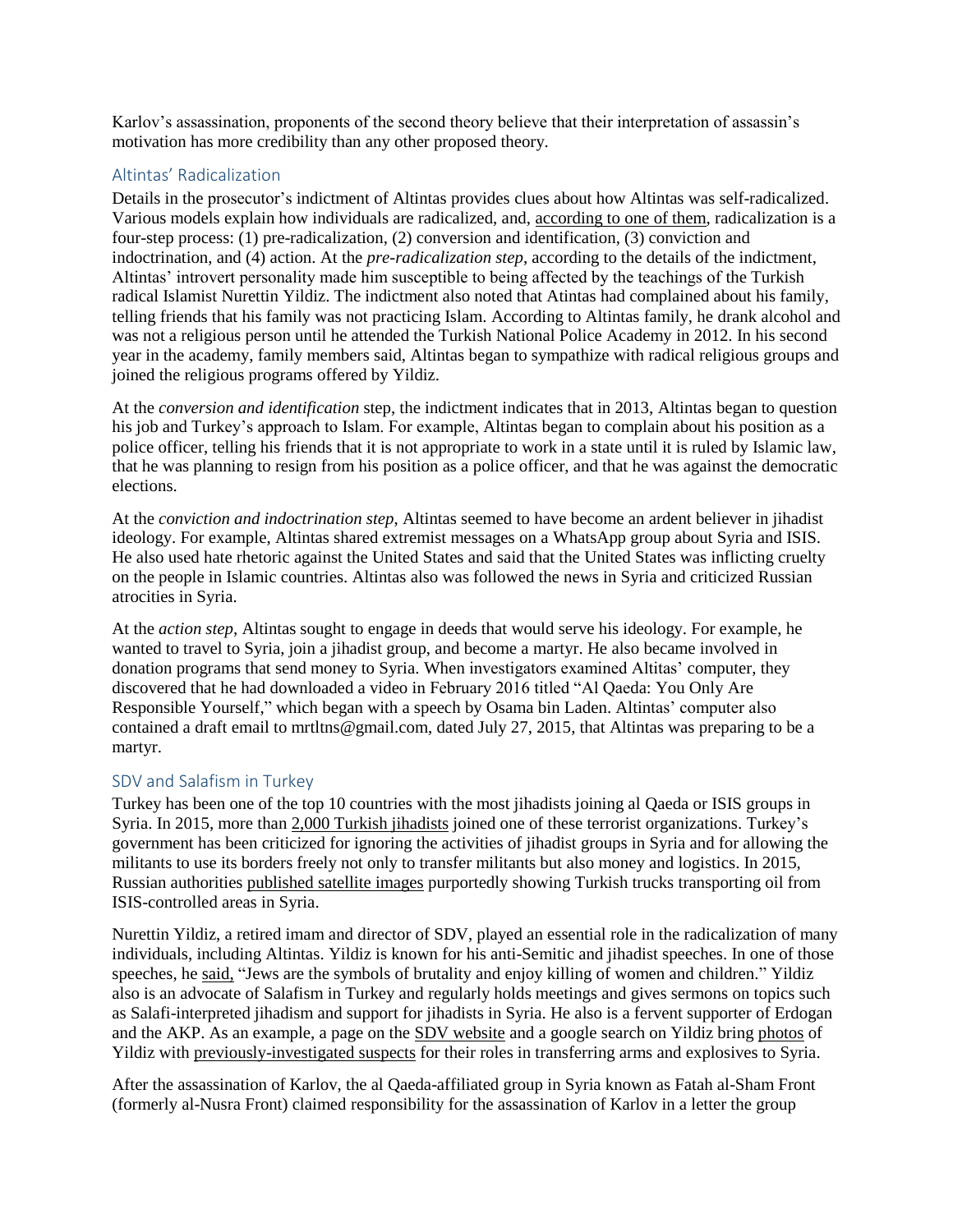Karlov's assassination, proponents of the second theory believe that their interpretation of assassin's motivation has more credibility than any other proposed theory.

## Altintas' Radicalization

Details in the prosecutor's indictment of Altintas provides clues about how Altintas was self-radicalized. Various models explain how individuals are radicalized, and, [according to one](http://www.seguridadinternacional.es/?q=es/content/situational-understanding-violent-radicalization-results-terrorism-two-graphic-models#_ftn15) of them, radicalization is a four-step process: (1) pre-radicalization, (2) conversion and identification, (3) conviction and indoctrination, and (4) action. At the *pre-radicalization step*, according to the details of the indictment, Altintas' introvert personality made him susceptible to being affected by the teachings of the Turkish radical Islamist Nurettin Yildiz. The indictment also noted that Atintas had complained about his family, telling friends that his family was not practicing Islam. According to Altintas family, he drank alcohol and was not a religious person until he attended the Turkish National Police Academy in 2012. In his second year in the academy, family members said, Altintas began to sympathize with radical religious groups and joined the religious programs offered by Yildiz.

At the *conversion and identification* step, the indictment indicates that in 2013, Altintas began to question his job and Turkey's approach to Islam. For example, Altintas began to complain about his position as a police officer, telling his friends that it is not appropriate to work in a state until it is ruled by Islamic law, that he was planning to resign from his position as a police officer, and that he was against the democratic elections.

At the *conviction and indoctrination step*, Altintas seemed to have become an ardent believer in jihadist ideology. For example, Altintas shared extremist messages on a WhatsApp group about Syria and ISIS. He also used hate rhetoric against the United States and said that the United States was inflicting cruelty on the people in Islamic countries. Altintas also was followed the news in Syria and criticized Russian atrocities in Syria.

At the *action step*, Altintas sought to engage in deeds that would serve his ideology. For example, he wanted to travel to Syria, join a jihadist group, and become a martyr. He also became involved in donation programs that send money to Syria. When investigators examined Altitas' computer, they discovered that he had downloaded a video in February 2016 titled "Al Qaeda: You Only Are Responsible Yourself," which began with a speech by Osama bin Laden. Altintas' computer also contained a draft email to mrtltns@gmail.com, dated July 27, 2015, that Altintas was preparing to be a martyr.

#### SDV and Salafism in Turkey

Turkey has been one of the top 10 countries with the most jihadists joining al Qaeda or ISIS groups in Syria. In 2015, more than 2,000 Turkish [jihadists](https://qz.com/568503/foreign-fighters-in-iraq-and-syria-come-from-86-countries-and-their-numbers-have-doubled/) joined one of these terrorist organizations. Turkey's government has been criticized for ignoring the activities of jihadist groups in Syria and for allowing the militants to use its borders freely not only to transfer militants but also money and logistics. In 2015, Russian authorities [published satellite images](https://www.independent.co.uk/news/world/europe/russia-releases-proof-turkey-smuggling-isis-oil-over-its-border-a6757651.html) purportedly showing Turkish trucks transporting oil from ISIS-controlled areas in Syria.

Nurettin Yildiz, a retired imam and director of SDV, played an essential role in the radicalization of many individuals, including Altintas. Yildiz is known for his anti-Semitic and jihadist speeches. In one of those speeches, h[e said,](https://www.youtube.com/watch?v=5809gBYXX0I) "Jews are the symbols of brutality and enjoy killing of women and children." Yildiz also is an advocate of Salafism in Turkey and regularly holds meetings and gives sermons on topics such as Salafi-interpreted jihadism and support for jihadists in Syria. He also is a fervent supporter of Erdogan and the AKP. As an example, a page on the [SDV website](https://www.sosyaldoku.com/kardeslik-ve-birlik-icin-bir-arada/) and a google search on Yildiz bring [photos](https://www.birgun.net/haber/cubbeli-ahmet-nurettin-yildiz-ihsan-senocak-bulent-yildirim-ve-nevzat-cicek-bulustu-208265) of Yildiz with [previously-investigated suspects](https://t24.com.tr/haber/ihh-baskani-bulent-yildirim-cemaat-savcilari-ihh-ile-ilgili-el-kaide-dosyasi-acilir-dedi,247507) for their roles in transferring arms and explosives to Syria.

After the assassination of Karlov, the al Qaeda-affiliated group in Syria known as Fatah al-Sham Front (formerly al-Nusra Front) claimed responsibility for the assassination of Karlov in a letter the group